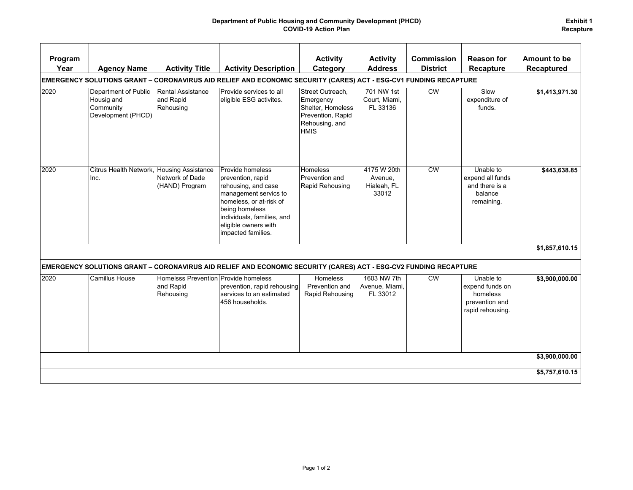## **Department of Public Housing and Community Development (PHCD) COVID-19 Action Plan**

| Program<br>Year                                                                                                  | <b>Agency Name</b>                                                    | <b>Activity Title</b>                                          | <b>Activity Description</b>                                                                                                                                                                                    | <b>Activity</b><br>Category                                                                              | <b>Activity</b><br><b>Address</b>              | <b>Commission</b><br><b>District</b> | <b>Reason for</b><br><b>Recapture</b>                                          | Amount to be<br><b>Recaptured</b> |  |  |  |  |
|------------------------------------------------------------------------------------------------------------------|-----------------------------------------------------------------------|----------------------------------------------------------------|----------------------------------------------------------------------------------------------------------------------------------------------------------------------------------------------------------------|----------------------------------------------------------------------------------------------------------|------------------------------------------------|--------------------------------------|--------------------------------------------------------------------------------|-----------------------------------|--|--|--|--|
| EMERGENCY SOLUTIONS GRANT – CORONAVIRUS AID RELIEF AND ECONOMIC SECURITY (CARES) ACT - ESG-CV1 FUNDING RECAPTURE |                                                                       |                                                                |                                                                                                                                                                                                                |                                                                                                          |                                                |                                      |                                                                                |                                   |  |  |  |  |
| 2020                                                                                                             | Department of Public<br>Housig and<br>Community<br>Development (PHCD) | Rental Assistance<br>and Rapid<br>Rehousing                    | Provide services to all<br>eligible ESG activites.                                                                                                                                                             | Street Outreach.<br>Emergency<br>Shelter, Homeless<br>Prevention, Rapid<br>Rehousing, and<br><b>HMIS</b> | 701 NW 1st<br>Court, Miami,<br>FL 33136        | <b>CW</b>                            | Slow<br>expenditure of<br>funds.                                               | \$1,413,971.30                    |  |  |  |  |
| 2020                                                                                                             | Citrus Health Network, Housing Assistance<br>Inc.                     | Network of Dade<br>(HAND) Program                              | Provide homeless<br>prevention, rapid<br>rehousing, and case<br>management servics to<br>homeless, or at-risk of<br>being homeless<br>individuals, families, and<br>eligible owners with<br>impacted families. | <b>Homeless</b><br>Prevention and<br>Rapid Rehousing                                                     | 4175 W 20th<br>Avenue,<br>Hialeah, FL<br>33012 | <b>CW</b>                            | Unable to<br>expend all funds<br>and there is a<br>balance<br>remaining.       | \$443,638.85                      |  |  |  |  |
|                                                                                                                  |                                                                       |                                                                |                                                                                                                                                                                                                |                                                                                                          |                                                |                                      |                                                                                | \$1,857,610.15                    |  |  |  |  |
|                                                                                                                  |                                                                       |                                                                | EMERGENCY SOLUTIONS GRANT – CORONAVIRUS AID RELIEF AND ECONOMIC SECURITY (CARES) ACT - ESG-CV2 FUNDING RECAPTURE                                                                                               |                                                                                                          |                                                |                                      |                                                                                |                                   |  |  |  |  |
| 2020                                                                                                             | <b>Camillus House</b>                                                 | Homelsss Prevention Provide homeless<br>and Rapid<br>Rehousing | prevention, rapid rehousing<br>services to an estimated<br>456 households.                                                                                                                                     | <b>Homeless</b><br>Prevention and<br>Rapid Rehousing                                                     | 1603 NW 7th<br>Avenue, Miami,<br>FL 33012      | <b>CW</b>                            | Unable to<br>expend funds on<br>homeless<br>prevention and<br>rapid rehousing. | \$3,900,000.00                    |  |  |  |  |
|                                                                                                                  |                                                                       |                                                                |                                                                                                                                                                                                                |                                                                                                          |                                                |                                      |                                                                                | \$3,900,000.00                    |  |  |  |  |
|                                                                                                                  |                                                                       |                                                                |                                                                                                                                                                                                                |                                                                                                          |                                                |                                      |                                                                                |                                   |  |  |  |  |